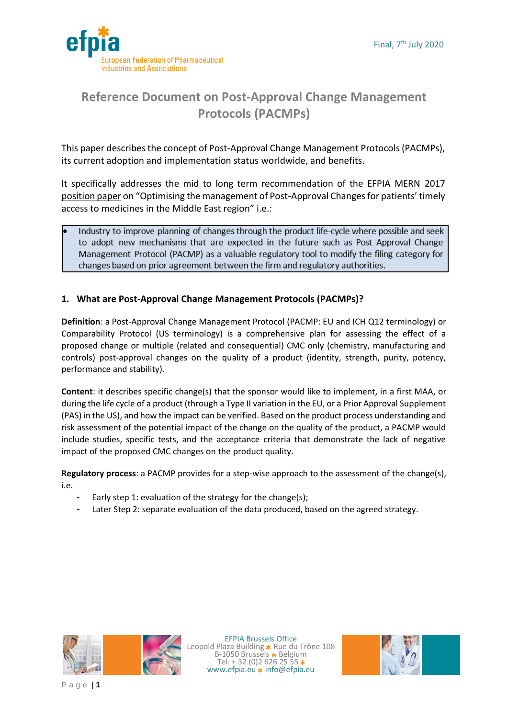



# **Reference Document on Post-Approval Change Management Protocols (PACMPs)**

This paper describes the concept of Post-Approval Change Management Protocols (PACMPs), its current adoption and implementation status worldwide, and benefits.

It specifically addresses the mid to long term recommendation of the EFPIA MERN 2017 [position paper](https://www.efpia.eu/media/288540/mern-lcm-paper-final-nov2017.pdf) on "Optimising the management of Post-Approval Changes for patients' timely access to medicines in the Middle East region" i.e.:

Industry to improve planning of changes through the product life-cycle where possible and seek to adopt new mechanisms that are expected in the future such as Post Approval Change Management Protocol (PACMP) as a valuable regulatory tool to modify the filing category for changes based on prior agreement between the firm and regulatory authorities.

## **1. What are Post-Approval Change Management Protocols (PACMPs)?**

**Definition**: a Post-Approval Change Management Protocol (PACMP: EU and ICH Q12 terminology) or Comparability Protocol (US terminology) is a comprehensive plan for assessing the effect of a proposed change or multiple (related and consequential) CMC only (chemistry, manufacturing and controls) post-approval changes on the quality of a product (identity, strength, purity, potency, performance and stability).

**Content**: it describes specific change(s) that the sponsor would like to implement, in a first MAA, or during the life cycle of a product (through a Type II variation in the EU, or a Prior Approval Supplement (PAS) in the US), and how the impact can be verified. Based on the product process understanding and risk assessment of the potential impact of the change on the quality of the product, a PACMP would include studies, specific tests, and the acceptance criteria that demonstrate the lack of negative impact of the proposed CMC changes on the product quality.

**Regulatory process**: a PACMP provides for a step-wise approach to the assessment of the change(s), i.e.

- Early step 1: evaluation of the strategy for the change(s);
- Later Step 2: separate evaluation of the data produced, based on the agreed strategy.



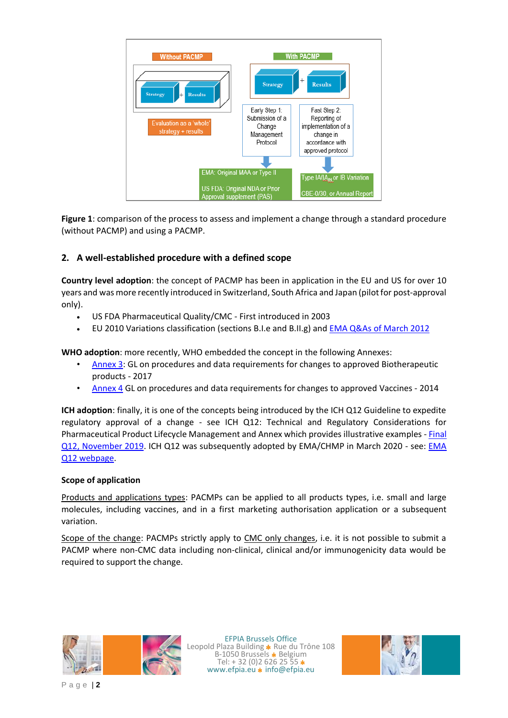

**Figure 1**: comparison of the process to assess and implement a change through a standard procedure (without PACMP) and using a PACMP.

# **2. A well-established procedure with a defined scope**

**Country level adoption**: the concept of PACMP has been in application in the EU and US for over 10 years and was more recently introduced in Switzerland, South Africa and Japan (pilot for post-approval only).

- US FDA Pharmaceutical Quality/CMC First introduced in 2003
- EU 2010 Variations classification (sections B.I.e and B.II.g) and EMA Q&As of [March 2012](http://www.ema.europa.eu/docs/en_GB/document_library/Scientific_guideline/2012/04/WC500125400.pdf)

**WHO adoption**: more recently, WHO embedded the concept in the following Annexes:

- [Annex 3:](https://www.who.int/biologicals/areas/biological_therapeutics/Annex_3_Extract_WHO_TRS_1011_web.pdf?ua=1) GL on procedures and data requirements for changes to approved Biotherapeutic products - 2017
- [Annex 4](https://www.who.int/biologicals/vaccines/Annex4_Guidelines_changes_to_approved_vaccines_eng.pdf?ua=1) GL on procedures and data requirements for changes to approved Vaccines 2014

**ICH adoption**: finally, it is one of the concepts being introduced by the ICH Q12 Guideline to expedite regulatory approval of a change - see ICH Q12: Technical and Regulatory Considerations for Pharmaceutical Product Lifecycle Management and Annex which provides illustrative examples - [Final](https://www.ich.org/page/quality-guidelines)  [Q12, November 2019.](https://www.ich.org/page/quality-guidelines) ICH Q12 was subsequently adopted by EMA/CHMP in March 2020 - see: EMA [Q12 webpage.](https://www.ema.europa.eu/en/ich-q12-technical-regulatory-considerations-pharmaceutical-product-lifecycle-management)

#### **Scope of application**

Products and applications types: PACMPs can be applied to all products types, i.e. small and large molecules, including vaccines, and in a first marketing authorisation application or a subsequent variation.

Scope of the change: PACMPs strictly apply to CMC only changes, i.e. it is not possible to submit a PACMP where non-CMC data including non-clinical, clinical and/or immunogenicity data would be required to support the change.



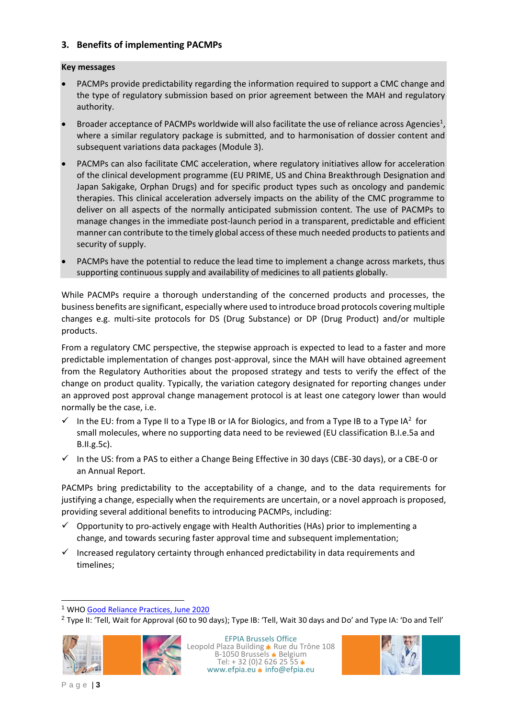### **3. Benefits of implementing PACMPs**

#### **Key messages**

- PACMPs provide predictability regarding the information required to support a CMC change and the type of regulatory submission based on prior agreement between the MAH and regulatory authority.
- Broader acceptance of PACMPs worldwide will also facilitate the use of reliance across Agencies<sup>1</sup>, where a similar regulatory package is submitted, and to harmonisation of dossier content and subsequent variations data packages (Module 3).
- PACMPs can also facilitate CMC acceleration, where regulatory initiatives allow for acceleration of the clinical development programme (EU PRIME, US and China Breakthrough Designation and Japan Sakigake, Orphan Drugs) and for specific product types such as oncology and pandemic therapies. This clinical acceleration adversely impacts on the ability of the CMC programme to deliver on all aspects of the normally anticipated submission content. The use of PACMPs to manage changes in the immediate post-launch period in a transparent, predictable and efficient manner can contribute to the timely global access of these much needed products to patients and security of supply.
- PACMPs have the potential to reduce the lead time to implement a change across markets, thus supporting continuous supply and availability of medicines to all patients globally.

While PACMPs require a thorough understanding of the concerned products and processes, the business benefits are significant, especially where used to introduce broad protocols covering multiple changes e.g. multi-site protocols for DS (Drug Substance) or DP (Drug Product) and/or multiple products.

From a regulatory CMC perspective, the stepwise approach is expected to lead to a faster and more predictable implementation of changes post-approval, since the MAH will have obtained agreement from the Regulatory Authorities about the proposed strategy and tests to verify the effect of the change on product quality. Typically, the variation category designated for reporting changes under an approved post approval change management protocol is at least one category lower than would normally be the case, i.e.

- $\checkmark$  In the EU: from a Type II to a Type IB or IA for Biologics, and from a Type IB to a Type IA<sup>2</sup> for small molecules, where no supporting data need to be reviewed (EU classification B.I.e.5a and B.II.g.5c).
- $\checkmark$  In the US: from a PAS to either a Change Being Effective in 30 days (CBE-30 days), or a CBE-0 or an Annual Report.

PACMPs bring predictability to the acceptability of a change, and to the data requirements for justifying a change, especially when the requirements are uncertain, or a novel approach is proposed, providing several additional benefits to introducing PACMPs, including:

- $\checkmark$  Opportunity to pro-actively engage with Health Authorities (HAs) prior to implementing a change, and towards securing faster approval time and subsequent implementation;
- $\checkmark$  Increased regulatory certainty through enhanced predictability in data requirements and timelines;

<sup>&</sup>lt;sup>2</sup> Type II: 'Tell, Wait for Approval (60 to 90 days); Type IB: 'Tell, Wait 30 days and Do' and Type IA: 'Do and Tell'





1

<sup>1</sup> WH[O Good Reliance Practices, June 2020](https://www.who.int/medicines/areas/quality_safety/quality_assurance/QAS20_851_good_reliance_practices.pdf?ua=1)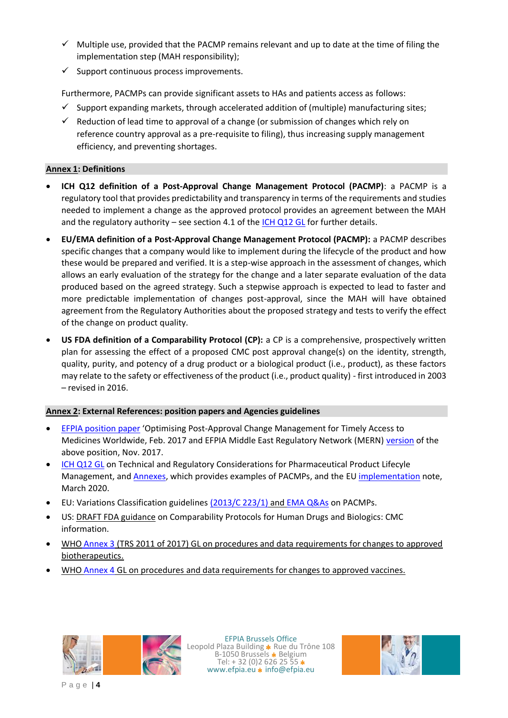- $\checkmark$  Multiple use, provided that the PACMP remains relevant and up to date at the time of filing the implementation step (MAH responsibility);
- $\checkmark$  Support continuous process improvements.

Furthermore, PACMPs can provide significant assets to HAs and patients access as follows:

- $\checkmark$  Support expanding markets, through accelerated addition of (multiple) manufacturing sites;
- $\checkmark$  Reduction of lead time to approval of a change (or submission of changes which rely on reference country approval as a pre-requisite to filing), thus increasing supply management efficiency, and preventing shortages.

#### **Annex 1: Definitions**

- **ICH Q12 definition of a Post-Approval Change Management Protocol (PACMP)**: a PACMP is a regulatory tool that provides predictability and transparency in terms of the requirements and studies needed to implement a change as the approved protocol provides an agreement between the MAH and the regulatory authority – see section 4.1 of the [ICH Q12 GL](https://database.ich.org/sites/default/files/Q12_Guideline_Step4_2019_1119.pdf) for further details.
- **EU/EMA definition of a Post-Approval Change Management Protocol (PACMP):** a PACMP describes specific changes that a company would like to implement during the lifecycle of the product and how these would be prepared and verified. It is a step-wise approach in the assessment of changes, which allows an early evaluation of the strategy for the change and a later separate evaluation of the data produced based on the agreed strategy. Such a stepwise approach is expected to lead to faster and more predictable implementation of changes post-approval, since the MAH will have obtained agreement from the Regulatory Authorities about the proposed strategy and tests to verify the effect of the change on product quality.
- **US FDA definition of a Comparability Protocol (CP):** a CP is a comprehensive, prospectively written plan for assessing the effect of a proposed CMC post approval change(s) on the identity, strength, quality, purity, and potency of a drug product or a biological product (i.e., product), as these factors may relate to the safety or effectiveness of the product (i.e., product quality) - first introduced in 2003 – revised in 2016.

#### **Annex 2: External References: position papers and Agencies guidelines**

- [EFPIA position paper](https://www.efpia.eu/media/25953/efpia-post-approval-change-position-paper_final_feb2017.pdf) 'Optimising Post-Approval Change Management for Timely Access to Medicines Worldwide, Feb. 2017 and EFPIA Middle East Regulatory Network (MERN[\) version](https://www.efpia.eu/media/288540/mern-lcm-paper-final-nov2017.pdf) of the above position, Nov. 2017.
- [ICH Q12 GL](https://www.ich.org/page/quality-guidelines) on Technical and Regulatory Considerations for Pharmaceutical Product Lifecyle Management, and [Annexes,](https://database.ich.org/sites/default/files/Q12_Annexes_Step4_2019_1119.pdf) which provides examples of PACMPs, and the E[U implementation](https://www.ema.europa.eu/en/documents/other/note-eu-implementation-ich-q12-guideline-technical-regulatory-considerations-pharmaceutical-product_en.pdf) note, March 2020.
- EU: Variations Classification guidelines [\(2013/C 223/1\)](http://ec.europa.eu/health/files/eudralex/vol-2/c_2013_2008/c_2013_2008_pdf/c_2013_2804_en.pdf) and [EMA Q&As](http://www.ema.europa.eu/docs/en_GB/document_library/Scientific_guideline/2012/04/WC500125400.pdf) on PACMPs.
- US: [DRAFT FDA guidance](https://www.fda.gov/regulatory-information/search-fda-guidance-documents/comparability-protocols-human-drugs-and-biologics-chemistry-manufacturing-and-controls-information) on Comparability Protocols for Human Drugs and Biologics: CMC information.
- WHO [Annex 3](https://www.who.int/biologicals/areas/biological_therapeutics/Annex_3_Extract_WHO_TRS_1011_web.pdf?ua=1) (TRS 2011 of 2017) GL on procedures and data requirements for changes to approved biotherapeutics.
- WHO [Annex 4](http://apps.who.int/medicinedocs/documents/s22021en/s22021en.pdf) GL on procedures and data requirements for changes to approved vaccines.